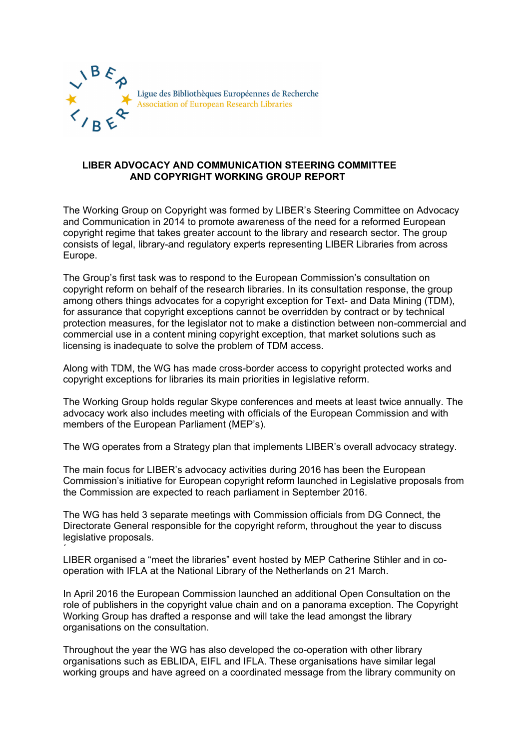

## **LIBER ADVOCACY AND COMMUNICATION STEERING COMMITTEE AND COPYRIGHT WORKING GROUP REPORT**

The Working Group on Copyright was formed by LIBER's Steering Committee on Advocacy and Communication in 2014 to promote awareness of the need for a reformed European copyright regime that takes greater account to the library and research sector. The group consists of legal, library-and regulatory experts representing LIBER Libraries from across Europe.

The Group's first task was to respond to the European Commission's consultation on copyright reform on behalf of the research libraries. In its consultation response, the group among others things advocates for a copyright exception for Text- and Data Mining (TDM), for assurance that copyright exceptions cannot be overridden by contract or by technical protection measures, for the legislator not to make a distinction between non-commercial and commercial use in a content mining copyright exception, that market solutions such as licensing is inadequate to solve the problem of TDM access.

Along with TDM, the WG has made cross-border access to copyright protected works and copyright exceptions for libraries its main priorities in legislative reform.

The Working Group holds regular Skype conferences and meets at least twice annually. The advocacy work also includes meeting with officials of the European Commission and with members of the European Parliament (MEP's).

The WG operates from a Strategy plan that implements LIBER's overall advocacy strategy.

The main focus for LIBER's advocacy activities during 2016 has been the European Commission's initiative for European copyright reform launched in Legislative proposals from the Commission are expected to reach parliament in September 2016.

The WG has held 3 separate meetings with Commission officials from DG Connect, the Directorate General responsible for the copyright reform, throughout the year to discuss legislative proposals.

 $\overline{\phantom{a}}$ LIBER organised a "meet the libraries" event hosted by MEP Catherine Stihler and in cooperation with IFLA at the National Library of the Netherlands on 21 March.

In April 2016 the European Commission launched an additional Open Consultation on the role of publishers in the copyright value chain and on a panorama exception. The Copyright Working Group has drafted a response and will take the lead amongst the library organisations on the consultation.

Throughout the year the WG has also developed the co-operation with other library organisations such as EBLIDA, EIFL and IFLA. These organisations have similar legal working groups and have agreed on a coordinated message from the library community on